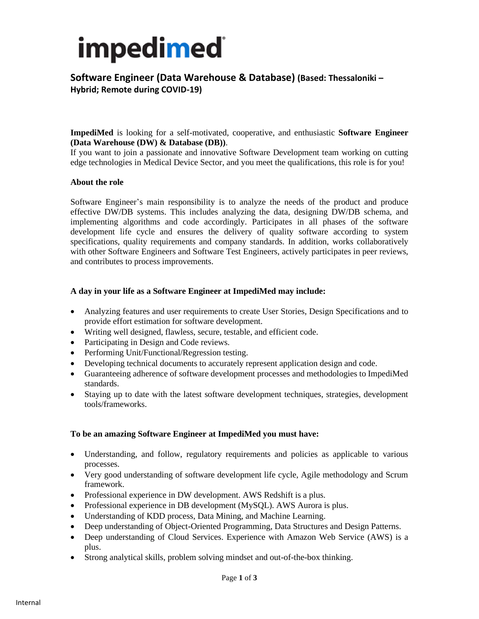## impedimed

**Software Engineer (Data Warehouse & Database) (Based: Thessaloniki – Hybrid; Remote during COVID-19)**

**ImpediMed** is looking for a self-motivated, cooperative, and enthusiastic **Software Engineer (Data Warehouse (DW) & Database (DB))**.

If you want to join a passionate and innovative Software Development team working on cutting edge technologies in Medical Device Sector, and you meet the qualifications, this role is for you!

#### **About the role**

Software Engineer's main responsibility is to analyze the needs of the product and produce effective DW/DB systems. This includes analyzing the data, designing DW/DB schema, and implementing algorithms and code accordingly. Participates in all phases of the software development life cycle and ensures the delivery of quality software according to system specifications, quality requirements and company standards. In addition, works collaboratively with other Software Engineers and Software Test Engineers, actively participates in peer reviews, and contributes to process improvements.

### **A day in your life as a Software Engineer at ImpediMed may include:**

- Analyzing features and user requirements to create User Stories, Design Specifications and to provide effort estimation for software development.
- Writing well designed, flawless, secure, testable, and efficient code.
- Participating in Design and Code reviews.
- Performing Unit/Functional/Regression testing.
- Developing technical documents to accurately represent application design and code.
- Guaranteeing adherence of software development processes and methodologies to ImpediMed standards.
- Staying up to date with the latest software development techniques, strategies, development tools/frameworks.

#### **To be an amazing Software Engineer at ImpediMed you must have:**

- Understanding, and follow, regulatory requirements and policies as applicable to various processes.
- Very good understanding of software development life cycle, Agile methodology and Scrum framework.
- Professional experience in DW development. AWS Redshift is a plus.
- Professional experience in DB development (MySQL). AWS Aurora is plus.
- Understanding of KDD process, Data Mining, and Machine Learning.
- Deep understanding of Object-Oriented Programming, Data Structures and Design Patterns.
- Deep understanding of Cloud Services. Experience with Amazon Web Service (AWS) is a plus.
- Strong analytical skills, problem solving mindset and out-of-the-box thinking.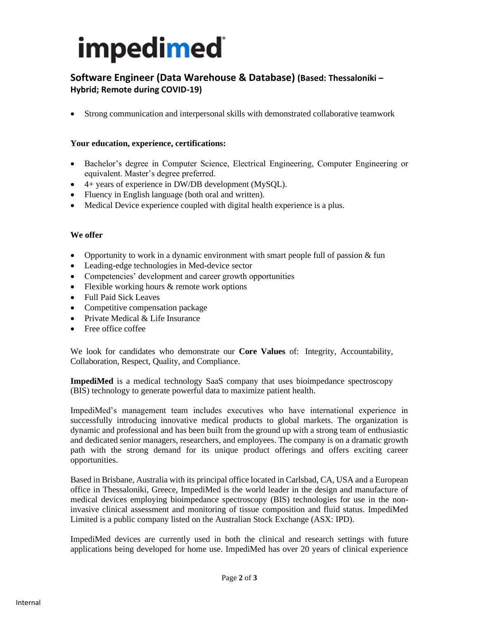# impedimed

## **Software Engineer (Data Warehouse & Database) (Based: Thessaloniki – Hybrid; Remote during COVID-19)**

• Strong communication and interpersonal skills with demonstrated collaborative teamwork

## **Your education, experience, certifications:**

- Bachelor's degree in Computer Science, Electrical Engineering, Computer Engineering or equivalent. Master's degree preferred.
- 4+ years of experience in DW/DB development (MySQL).
- Fluency in English language (both oral and written).
- Medical Device experience coupled with digital health experience is a plus.

### **We offer**

- Opportunity to work in a dynamic environment with smart people full of passion & fun
- Leading-edge technologies in Med-device sector
- Competencies' development and career growth opportunities
- Flexible working hours & remote work options
- Full Paid Sick Leaves
- Competitive compensation package
- Private Medical & Life Insurance
- Free office coffee

We look for candidates who demonstrate our **Core Values** of: Integrity, Accountability, Collaboration, Respect, Quality, and Compliance.

**ImpediMed** is a medical technology SaaS company that uses bioimpedance spectroscopy (BIS) technology to generate powerful data to maximize patient health.

ImpediMed's management team includes executives who have international experience in successfully introducing innovative medical products to global markets. The organization is dynamic and professional and has been built from the ground up with a strong team of enthusiastic and dedicated senior managers, researchers, and employees. The company is on a dramatic growth path with the strong demand for its unique product offerings and offers exciting career opportunities.

Based in Brisbane, Australia with its principal office located in Carlsbad, CA, USA and a European office in Thessaloniki, Greece, ImpediMed is the world leader in the design and manufacture of medical devices employing bioimpedance spectroscopy (BIS) technologies for use in the noninvasive clinical assessment and monitoring of tissue composition and fluid status. ImpediMed Limited is a public company listed on the Australian Stock Exchange (ASX: IPD).

ImpediMed devices are currently used in both the clinical and research settings with future applications being developed for home use. ImpediMed has over 20 years of clinical experience